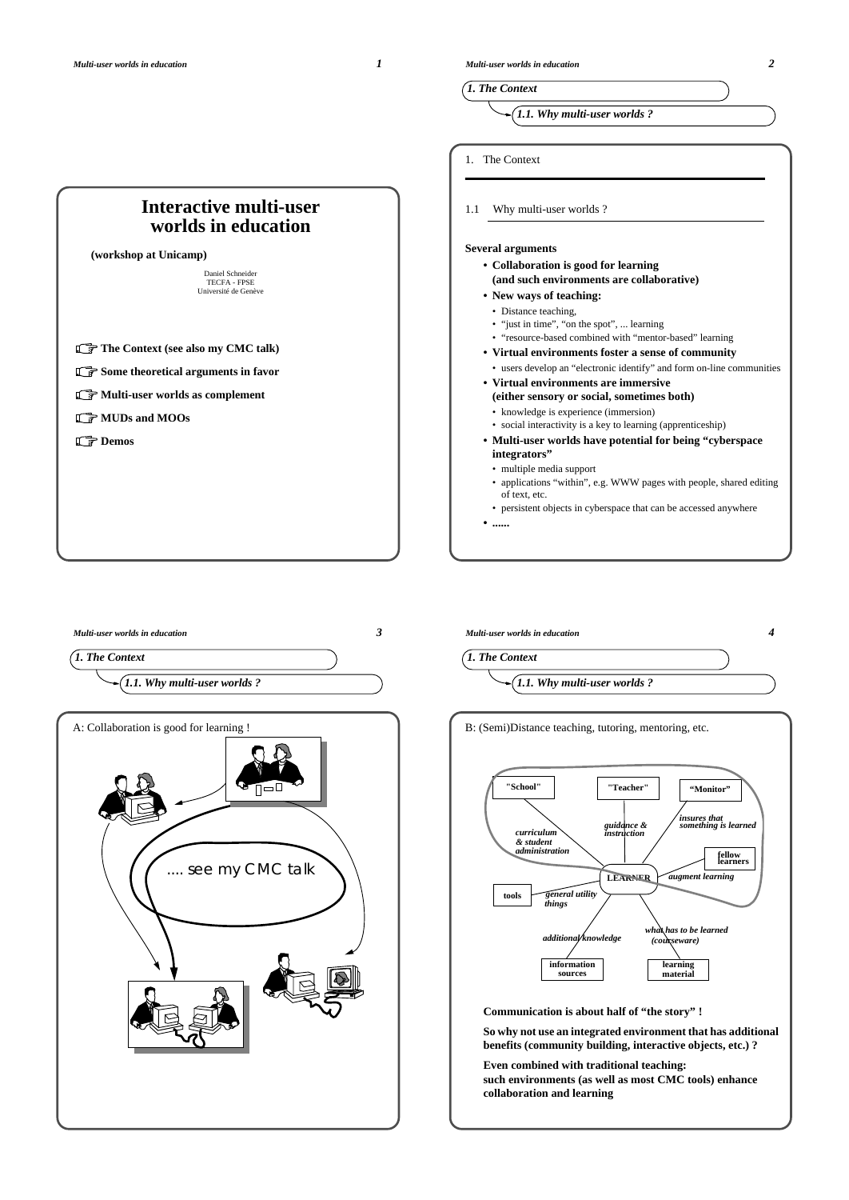



**• ......**



*Multi-user worlds in education 4 1. The Context 1.1. Why multi-user worlds ?* B: (Semi)Distance teaching, tutoring, mentoring, etc. **LEARNER fellow learners "Teacher" "Monitor" tools information sources learning material "School"** *guidance & instruction insures that something is learned curriculum augment learning what has to be learned general utility things additional knowledge (courseware) & student administration*

**Communication is about half of "the story" !**

**So why not use an integrated environment that has additional benefits (community building, interactive objects, etc.) ?**

**Even combined with traditional teaching: such environments (as well as most CMC tools) enhance collaboration and learning**

*Multi-user worlds in education 2*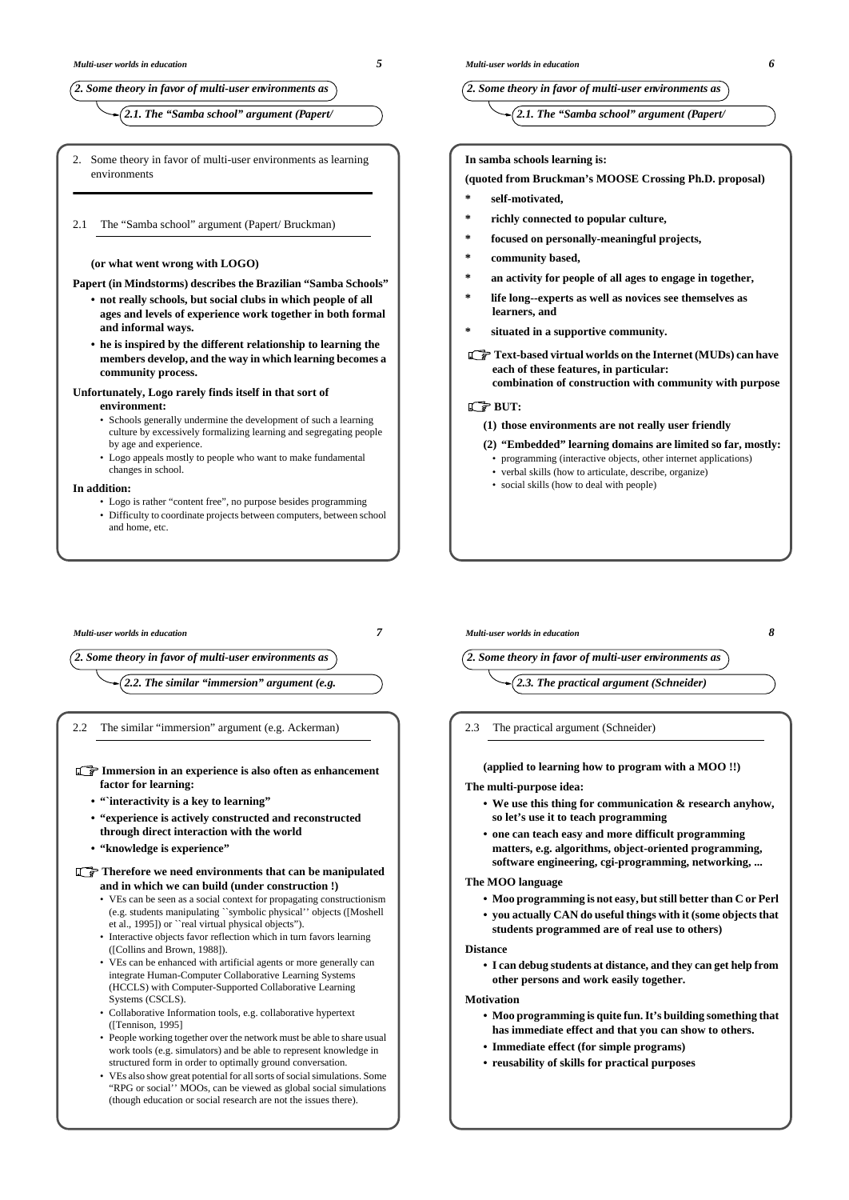## *2. Some theory in favor of multi-user environments as*

*2.1. The "Samba school" argument (Papert/*

- 2. Some theory in favor of multi-user environments as learning environments
- 2.1 The "Samba school" argument (Papert/ Bruckman)

#### **(or what went wrong with LOGO)**

**Papert (in Mindstorms) describes the Brazilian "Samba Schools"**

- **not really schools, but social clubs in which people of all ages and levels of experience work together in both formal and informal ways.**
- **he is inspired by the different relationship to learning the members develop, and the way in which learning becomes a community process.**

### **Unfortunately, Logo rarely finds itself in that sort of**

### **environment:**

- Schools generally undermine the development of such a learning culture by excessively formalizing learning and segregating people by age and experience.
- Logo appeals mostly to people who want to make fundamental changes in school.

### **In addition:**

- Logo is rather "content free", no purpose besides programming
- Difficulty to coordinate projects between computers, between school and home, etc.
- *Multi-user worlds in education 7*

*2. Some theory in favor of multi-user environments as*

*2.2. The similar "immersion" argument (e.g.*

2.2 The similar "immersion" argument (e.g. Ackerman)

- **Immersion in an experience is also often as enhancement factor for learning:**
	- **"`interactivity is a key to learning"**
	- **"experience is actively constructed and reconstructed through direct interaction with the world**
	- **"knowledge is experience"**

**Therefore we need environments that can be manipulated and in which we can build (under construction !)**

- VEs can be seen as a social context for propagating constructionism (e.g. students manipulating ``symbolic physical'' objects ([Moshell et al., 1995]) or ``real virtual physical objects").
- Interactive objects favor reflection which in turn favors learning ([Collins and Brown, 1988]).
- VEs can be enhanced with artificial agents or more generally can integrate Human-Computer Collaborative Learning Systems (HCCLS) with Computer-Supported Collaborative Learning Systems (CSCLS).
- Collaborative Information tools, e.g. collaborative hypertext ([Tennison, 1995]
- People working together over the network must be able to share usual work tools (e.g. simulators) and be able to represent knowledge in structured form in order to optimally ground conversation.
- VEs also show great potential for all sorts of social simulations. Some "RPG or social'' MOOs, can be viewed as global social simulations (though education or social research are not the issues there).

### *2. Some theory in favor of multi-user environments as*

*2.1. The "Samba school" argument (Papert/*

### **In samba schools learning is:**

#### **(quoted from Bruckman's MOOSE Crossing Ph.D. proposal)**

- **\* self-motivated,**
- **\* richly connected to popular culture,**
- **\* focused on personally-meaningful projects,**
- community based,
- **\* an activity for people of all ages to engage in together,**
- **\* life long--experts as well as novices see themselves as learners, and**
- **\* situated in a supportive community.**
- **Text-based virtual worlds on the Internet (MUDs) can have each of these features, in particular: combination of construction with community with purpose**

### **GBUT:**

- **(1) those environments are not really user friendly**
- **(2) "Embedded" learning domains are limited so far, mostly:** • programming (interactive objects, other internet applications)
- verbal skills (how to articulate, describe, organize)
- social skills (how to deal with people)

## *Multi-user worlds in education 8*

*2. Some theory in favor of multi-user environments as*

- *2.3. The practical argument (Schneider)*
- 2.3 The practical argument (Schneider)

#### **(applied to learning how to program with a MOO !!)**

#### **The multi-purpose idea:**

- **We use this thing for communication & research anyhow, so let's use it to teach programming**
- **one can teach easy and more difficult programming matters, e.g. algorithms, object-oriented programming, software engineering, cgi-programming, networking, ...**

### **The MOO language**

- **• Moo programming is not easy, but still better than C or Perl**
- **• you actually CAN do useful things with it (some objects that students programmed are of real use to others)**

#### **Distance**

**• I can debug students at distance, and they can get help from other persons and work easily together.**

#### **Motivation**

- **• Moo programming is quite fun. It's building something that has immediate effect and that you can show to others.**
- **Immediate effect (for simple programs)**
- **reusability of skills for practical purposes**